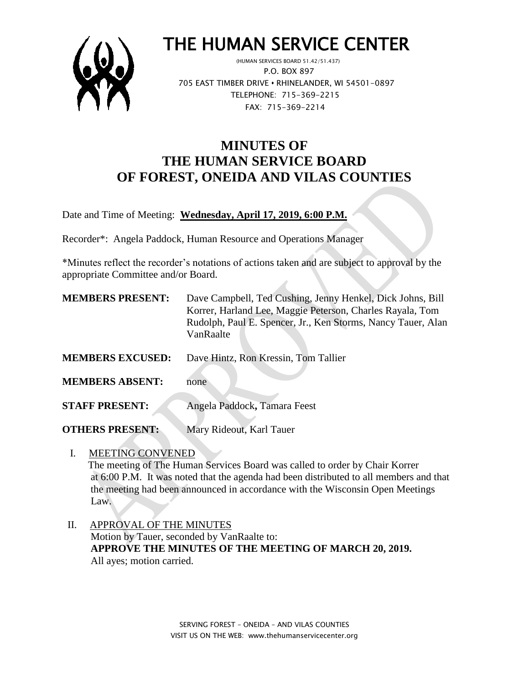

# THE HUMAN SERVICE CENTER

 (HUMAN SERVICES BOARD 51.42/51.437) P.O. BOX 897 705 EAST TIMBER DRIVE **•** RHINELANDER, WI 54501-0897 TELEPHONE: 715-369-2215 FAX: 715-369-2214

# **MINUTES OF THE HUMAN SERVICE BOARD OF FOREST, ONEIDA AND VILAS COUNTIES**

Date and Time of Meeting: **Wednesday, April 17, 2019, 6:00 P.M.**

Recorder\*: Angela Paddock, Human Resource and Operations Manager

\*Minutes reflect the recorder's notations of actions taken and are subject to approval by the appropriate Committee and/or Board.

| <b>MEMBERS PRESENT:</b> | Dave Campbell, Ted Cushing, Jenny Henkel, Dick Johns, Bill<br>Korrer, Harland Lee, Maggie Peterson, Charles Rayala, Tom<br>Rudolph, Paul E. Spencer, Jr., Ken Storms, Nancy Tauer, Alan<br>VanRaalte |
|-------------------------|------------------------------------------------------------------------------------------------------------------------------------------------------------------------------------------------------|
| <b>MEMBERS EXCUSED:</b> | Dave Hintz, Ron Kressin, Tom Tallier                                                                                                                                                                 |
| <b>MEMBERS ABSENT:</b>  | none                                                                                                                                                                                                 |
| <b>STAFF PRESENT:</b>   | Angela Paddock, Tamara Feest                                                                                                                                                                         |

**OTHERS PRESENT:** Mary Rideout, Karl Tauer

I. MEETING CONVENED

 The meeting of The Human Services Board was called to order by Chair Korrer at 6:00 P.M. It was noted that the agenda had been distributed to all members and that the meeting had been announced in accordance with the Wisconsin Open Meetings Law.

 II. APPROVAL OF THE MINUTES Motion by Tauer, seconded by VanRaalte to: **APPROVE THE MINUTES OF THE MEETING OF MARCH 20, 2019.** All ayes; motion carried.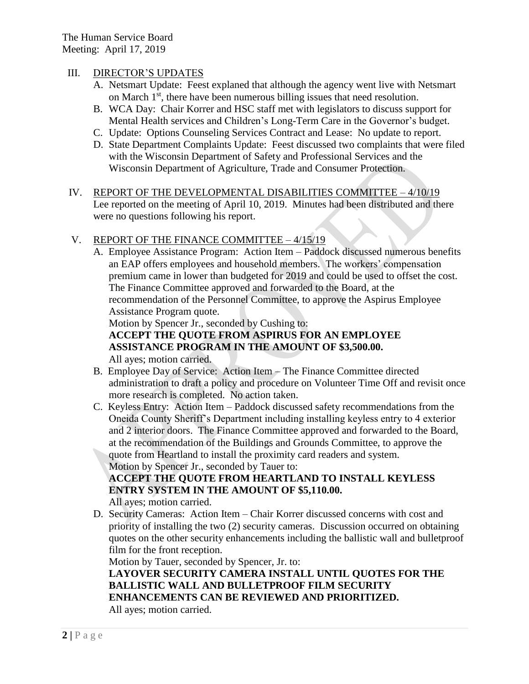#### III. DIRECTOR'S UPDATES

- A. Netsmart Update: Feest explaned that although the agency went live with Netsmart on March  $1<sup>st</sup>$ , there have been numerous billing issues that need resolution.
- B. WCA Day: Chair Korrer and HSC staff met with legislators to discuss support for Mental Health services and Children's Long-Term Care in the Governor's budget.
- C. Update: Options Counseling Services Contract and Lease: No update to report.
- D. State Department Complaints Update: Feest discussed two complaints that were filed with the Wisconsin Department of Safety and Professional Services and the Wisconsin Department of Agriculture, Trade and Consumer Protection.
- IV. REPORT OF THE DEVELOPMENTAL DISABILITIES COMMITTEE 4/10/19 Lee reported on the meeting of April 10, 2019. Minutes had been distributed and there were no questions following his report.

### V. REPORT OF THE FINANCE COMMITTEE – 4/15/19

A. Employee Assistance Program: Action Item – Paddock discussed numerous benefits an EAP offers employees and household members. The workers' compensation premium came in lower than budgeted for 2019 and could be used to offset the cost. The Finance Committee approved and forwarded to the Board, at the recommendation of the Personnel Committee, to approve the Aspirus Employee Assistance Program quote.

Motion by Spencer Jr., seconded by Cushing to:

# **ACCEPT THE QUOTE FROM ASPIRUS FOR AN EMPLOYEE ASSISTANCE PROGRAM IN THE AMOUNT OF \$3,500.00.**

All ayes; motion carried.

- B. Employee Day of Service: Action Item The Finance Committee directed administration to draft a policy and procedure on Volunteer Time Off and revisit once more research is completed. No action taken.
- C. Keyless Entry: Action Item Paddock discussed safety recommendations from the Oneida County Sheriff's Department including installing keyless entry to 4 exterior and 2 interior doors. The Finance Committee approved and forwarded to the Board, at the recommendation of the Buildings and Grounds Committee, to approve the quote from Heartland to install the proximity card readers and system. Motion by Spencer Jr., seconded by Tauer to:

## **ACCEPT THE QUOTE FROM HEARTLAND TO INSTALL KEYLESS ENTRY SYSTEM IN THE AMOUNT OF \$5,110.00.**

All ayes; motion carried.

D. Security Cameras: Action Item – Chair Korrer discussed concerns with cost and priority of installing the two (2) security cameras. Discussion occurred on obtaining quotes on the other security enhancements including the ballistic wall and bulletproof film for the front reception.

Motion by Tauer, seconded by Spencer, Jr. to: **LAYOVER SECURITY CAMERA INSTALL UNTIL QUOTES FOR THE BALLISTIC WALL AND BULLETPROOF FILM SECURITY ENHANCEMENTS CAN BE REVIEWED AND PRIORITIZED.** All ayes; motion carried.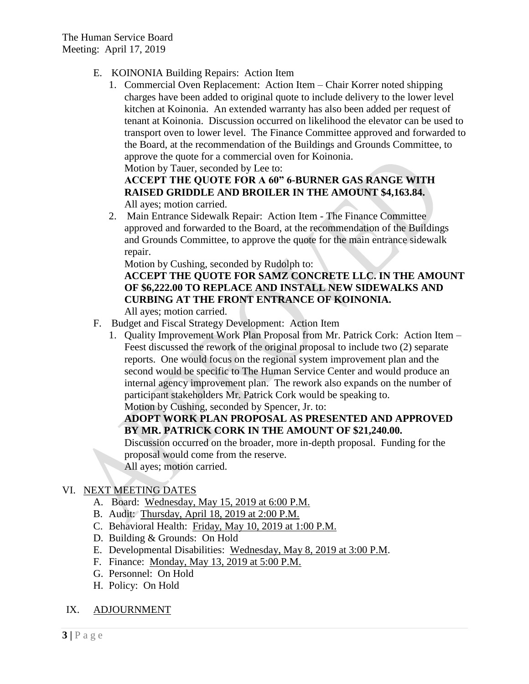The Human Service Board Meeting: April 17, 2019

- E. KOINONIA Building Repairs: Action Item
	- 1. Commercial Oven Replacement: Action Item Chair Korrer noted shipping charges have been added to original quote to include delivery to the lower level kitchen at Koinonia. An extended warranty has also been added per request of tenant at Koinonia. Discussion occurred on likelihood the elevator can be used to transport oven to lower level. The Finance Committee approved and forwarded to the Board, at the recommendation of the Buildings and Grounds Committee, to approve the quote for a commercial oven for Koinonia.

Motion by Tauer, seconded by Lee to:

## **ACCEPT THE QUOTE FOR A 60" 6-BURNER GAS RANGE WITH RAISED GRIDDLE AND BROILER IN THE AMOUNT \$4,163.84.**

All ayes; motion carried.

2. Main Entrance Sidewalk Repair: Action Item - The Finance Committee approved and forwarded to the Board, at the recommendation of the Buildings and Grounds Committee, to approve the quote for the main entrance sidewalk repair.

Motion by Cushing, seconded by Rudolph to:

# **ACCEPT THE QUOTE FOR SAMZ CONCRETE LLC. IN THE AMOUNT OF \$6,222.00 TO REPLACE AND INSTALL NEW SIDEWALKS AND CURBING AT THE FRONT ENTRANCE OF KOINONIA.**

All ayes; motion carried.

- F. Budget and Fiscal Strategy Development: Action Item
	- 1. Quality Improvement Work Plan Proposal from Mr. Patrick Cork: Action Item Feest discussed the rework of the original proposal to include two (2) separate reports. One would focus on the regional system improvement plan and the second would be specific to The Human Service Center and would produce an internal agency improvement plan. The rework also expands on the number of participant stakeholders Mr. Patrick Cork would be speaking to. Motion by Cushing, seconded by Spencer, Jr. to:

## **ADOPT WORK PLAN PROPOSAL AS PRESENTED AND APPROVED BY MR. PATRICK CORK IN THE AMOUNT OF \$21,240.00.**

Discussion occurred on the broader, more in-depth proposal. Funding for the proposal would come from the reserve.

All ayes; motion carried.

## VI. NEXT MEETING DATES

- A. Board: Wednesday, May 15, 2019 at 6:00 P.M.
- B. Audit: Thursday, April 18, 2019 at 2:00 P.M.
- C. Behavioral Health: Friday, May 10, 2019 at 1:00 P.M.
- D. Building & Grounds: On Hold
- E. Developmental Disabilities: Wednesday, May 8, 2019 at 3:00 P.M.
- F. Finance: Monday, May 13, 2019 at 5:00 P.M.
- G. Personnel: On Hold
- H. Policy: On Hold
- IX. ADJOURNMENT